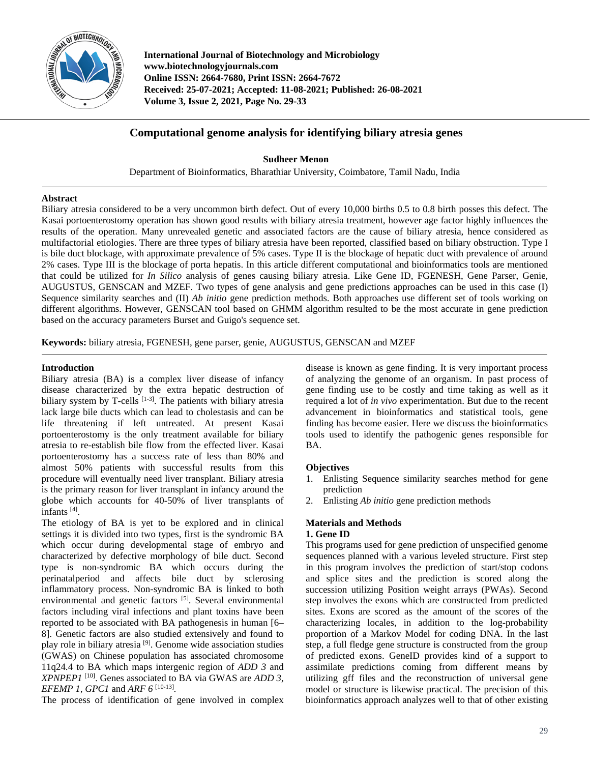

**International Journal of Biotechnology and Microbiology www.biotechnologyjournals.com Online ISSN: 2664-7680, Print ISSN: 2664-7672 Received: 25-07-2021; Accepted: 11-08-2021; Published: 26-08-2021 Volume 3, Issue 2, 2021, Page No. 29-33**

# **Computational genome analysis for identifying biliary atresia genes**

**Sudheer Menon** Department of Bioinformatics, Bharathiar University, Coimbatore, Tamil Nadu, India

## **Abstract**

Biliary atresia considered to be a very uncommon birth defect. Out of every 10,000 births 0.5 to 0.8 birth posses this defect. The Kasai portoenterostomy operation has shown good results with biliary atresia treatment, however age factor highly influences the results of the operation. Many unrevealed genetic and associated factors are the cause of biliary atresia, hence considered as multifactorial etiologies. There are three types of biliary atresia have been reported, classified based on biliary obstruction. Type I is bile duct blockage, with approximate prevalence of 5% cases. Type II is the blockage of hepatic duct with prevalence of around 2% cases. Type III is the blockage of porta hepatis. In this article different computational and bioinformatics tools are mentioned that could be utilized for *In Silico* analysis of genes causing biliary atresia. Like Gene ID, FGENESH, Gene Parser, Genie, AUGUSTUS, GENSCAN and MZEF. Two types of gene analysis and gene predictions approaches can be used in this case (I) Sequence similarity searches and (II) *Ab initio* gene prediction methods. Both approaches use different set of tools working on different algorithms. However, GENSCAN tool based on GHMM algorithm resulted to be the most accurate in gene prediction based on the accuracy parameters Burset and Guigo's sequence set.

**Keywords:** biliary atresia, FGENESH, gene parser, genie, AUGUSTUS, GENSCAN and MZEF

## **Introduction**

Biliary atresia (BA) is a complex liver disease of infancy disease characterized by the extra hepatic destruction of biliary system by T-cells  $[1-3]$ . The patients with biliary atresia lack large bile ducts which can lead to cholestasis and can be life threatening if left untreated. At present Kasai portoenterostomy is the only treatment available for biliary atresia to re-establish bile flow from the effected liver. Kasai portoenterostomy has a success rate of less than 80% and almost 50% patients with successful results from this procedure will eventually need liver transplant. Biliary atresia is the primary reason for liver transplant in infancy around the globe which accounts for 40-50% of liver transplants of infants [4].

The etiology of BA is yet to be explored and in clinical settings it is divided into two types, first is the syndromic BA which occur during developmental stage of embryo and characterized by defective morphology of bile duct. Second type is non-syndromic BA which occurs during the perinatalperiod and affects bile duct by sclerosing inflammatory process. Non-syndromic BA is linked to both environmental and genetic factors <sup>[5]</sup>. Several environmental factors including viral infections and plant toxins have been reported to be associated with BA pathogenesis in human [6– 8]. Genetic factors are also studied extensively and found to play role in biliary atresia [9]. Genome wide association studies (GWAS) on Chinese population has associated chromosome 11q24.4 to BA which maps intergenic region of *ADD 3* and *XPNPEP1* [10]. Genes associated to BA via GWAS are *ADD 3*, *EFEMP 1, GPC1* and *ARF 6* [10-13]*.*

The process of identification of gene involved in complex

disease is known as gene finding. It is very important process of analyzing the genome of an organism. In past process of gene finding use to be costly and time taking as well as it required a lot of *in vivo* experimentation. But due to the recent advancement in bioinformatics and statistical tools, gene finding has become easier. Here we discuss the bioinformatics tools used to identify the pathogenic genes responsible for BA.

## **Objectives**

- 1. Enlisting Sequence similarity searches method for gene prediction
- 2. Enlisting *Ab initio* gene prediction methods

# **Materials and Methods 1. Gene ID**

This programs used for gene prediction of unspecified genome sequences planned with a various leveled structure. First step in this program involves the prediction of start/stop codons and splice sites and the prediction is scored along the succession utilizing Position weight arrays (PWAs). Second step involves the exons which are constructed from predicted sites. Exons are scored as the amount of the scores of the characterizing locales, in addition to the log-probability proportion of a Markov Model for coding DNA. In the last step, a full fledge gene structure is constructed from the group of predicted exons. GeneID provides kind of a support to assimilate predictions coming from different means by utilizing gff files and the reconstruction of universal gene model or structure is likewise practical. The precision of this bioinformatics approach analyzes well to that of other existing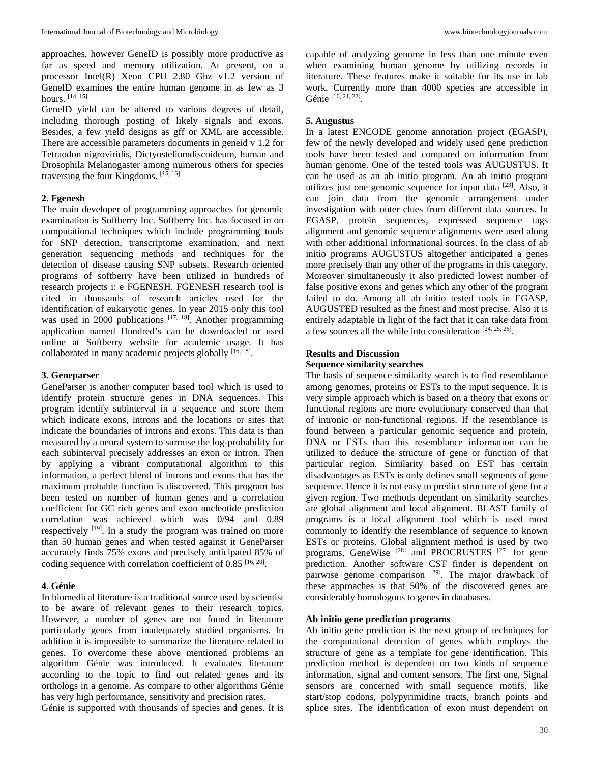approaches, however GeneID is possibly more productive as far as speed and memory utilization. At present, on a processor Intel(R) Xeon CPU 2.80 Ghz v1.2 version of GeneID examines the entire human genome in as few as 3 hours. [14, 15]

GeneID yield can be altered to various degrees of detail, including thorough posting of likely signals and exons. Besides, a few yield designs as gff or XML are accessible. There are accessible parameters documents in geneid v 1.2 for Tetraodon nigroviridis, Dictyosteliumdiscoideum, human and Drosophila Melanogaster among numerous others for species traversing the four Kingdoms. [15, 16]

### **2. Fgenesh**

The main developer of programming approaches for genomic examination is Softberry Inc. Softberry Inc. has focused in on computational techniques which include programming tools for SNP detection, transcriptome examination, and next generation sequencing methods and techniques for the detection of disease causing SNP subsets. Research oriented programs of softberry have been utilized in hundreds of research projects i: e FGENESH. FGENESH research tool is cited in thousands of research articles used for the identification of eukaryotic genes. In year 2015 only this tool was used in 2000 publications  $[17, 18]$ . Another programming application named Hundred's can be downloaded or used online at Softberry website for academic usage. It has collaborated in many academic projects globally [16, 18].

#### **3. Geneparser**

GeneParser is another computer based tool which is used to identify protein structure genes in DNA sequences. This program identify subinterval in a sequence and score them which indicate exons, introns and the locations or sites that indicate the boundaries of introns and exons. This data is than measured by a neural system to surmise the log-probability for each subinterval precisely addresses an exon or intron. Then by applying a vibrant computational algorithm to this information, a perfect blend of introns and exons that has the maximum probable function is discovered. This program has been tested on number of human genes and a correlation coefficient for GC rich genes and exon nucleotide prediction correlation was achieved which was 0/94 and 0.89 respectively <sup>[19]</sup>. In a study the program was trained on more than 50 human genes and when tested against it GeneParser accurately finds 75% exons and precisely anticipated 85% of coding sequence with correlation coefficient of  $0.85$  [16, 20].

#### **4. Génie**

In biomedical literature is a traditional source used by scientist to be aware of relevant genes to their research topics. However, a number of genes are not found in literature particularly genes from inadequately studied organisms. In addition it is impossible to summarize the literature related to genes. To overcome these above mentioned problems an algorithm Génie was introduced. It evaluates literature according to the topic to find out related genes and its orthologs in a genome. As compare to other algorithms Génie has very high performance, sensitivity and precision rates. Génie is supported with thousands of species and genes. It is

capable of analyzing genome in less than one minute even when examining human genome by utilizing records in literature. These features make it suitable for its use in lab work. Currently more than 4000 species are accessible in Génie [16, 21, 22].

#### **5. Augustus**

In a latest ENCODE genome annotation project (EGASP), few of the newly developed and widely used gene prediction tools have been tested and compared on information from human genome. One of the tested tools was AUGUSTUS. It can be used as an ab initio program. An ab initio program utilizes just one genomic sequence for input data [23]. Also, it can join data from the genomic arrangement under investigation with outer clues from different data sources. In EGASP, protein sequences, expressed sequence tags alignment and genomic sequence alignments were used along with other additional informational sources. In the class of ab initio programs AUGUSTUS altogether anticipated a genes more precisely than any other of the programs in this category. Moreover simultaneously it also predicted lowest number of false positive exons and genes which any other of the program failed to do. Among all ab initio tested tools in EGASP, AUGUSTED resulted as the finest and most precise. Also it is entirely adaptable in light of the fact that it can take data from a few sources all the while into consideration  $[24, 25, 26]$ .

### **Results and Discussion**

## **Sequence similarity searches**

The basis of sequence similarity search is to find resemblance among genomes, proteins or ESTs to the input sequence. It is very simple approach which is based on a theory that exons or functional regions are more evolutionary conserved than that of intronic or non-functional regions. If the resemblance is found between a particular genomic sequence and protein, DNA or ESTs than this resemblance information can be utilized to deduce the structure of gene or function of that particular region. Similarity based on EST has certain disadvantages as ESTs is only defines small segments of gene sequence. Hence it is not easy to predict structure of gene for a given region. Two methods dependant on similarity searches are global alignment and local alignment. BLAST family of programs is a local alignment tool which is used most commonly to identify the resemblance of sequence to known ESTs or proteins. Global alignment method is used by two programs, GeneWise [28] and PROCRUSTES [27] for gene prediction. Another software CST finder is dependent on pairwise genome comparison  $[29]$ . The major drawback of these approaches is that 50% of the discovered genes are considerably homologous to genes in databases.

### **Ab initio gene prediction programs**

Ab initio gene prediction is the next group of techniques for the computational detection of genes which employs the structure of gene as a template for gene identification. This prediction method is dependent on two kinds of sequence information, signal and content sensors. The first one, Signal sensors are concerned with small sequence motifs, like start/stop codons, polypyrimidine tracts, branch points and splice sites. The identification of exon must dependent on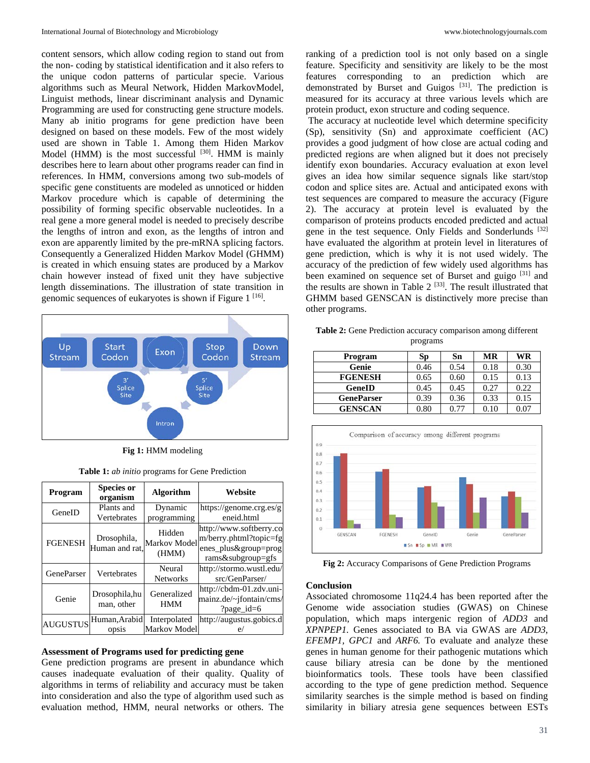content sensors, which allow coding region to stand out from the non- coding by statistical identification and it also refers to the unique codon patterns of particular specie. Various algorithms such as Meural Network, Hidden MarkovModel, Linguist methods, linear discriminant analysis and Dynamic Programming are used for constructing gene structure models. Many ab initio programs for gene prediction have been designed on based on these models. Few of the most widely used are shown in Table 1. Among them Hiden Markov Model (HMM) is the most successful  $[30]$ . HMM is mainly describes here to learn about other programs reader can find in references. In HMM, conversions among two sub-models of specific gene constituents are modeled as unnoticed or hidden Markov procedure which is capable of determining the possibility of forming specific observable nucleotides. In a real gene a more general model is needed to precisely describe the lengths of intron and exon, as the lengths of intron and exon are apparently limited by the pre-mRNA splicing factors. Consequently a Generalized Hidden Markov Model (GHMM) is created in which ensuing states are produced by a Markov chain however instead of fixed unit they have subjective length disseminations. The illustration of state transition in genomic sequences of eukaryotes is shown if Figure  $1^{[16]}$ .



**Fig 1:** HMM modeling

**Table 1:** *ab initio* programs for Gene Prediction

| Program           | <b>Species or</b><br>organism | <b>Algorithm</b>                       | Website                                                                                           |  |
|-------------------|-------------------------------|----------------------------------------|---------------------------------------------------------------------------------------------------|--|
| GeneID            | Plants and<br>Vertebrates     | Dynamic<br>programming                 | https://genome.crg.es/g<br>eneid.html                                                             |  |
| <b>FGENESH</b>    | Drosophila,<br>Human and rat. | Hidden<br><b>Markov Model</b><br>(HMM) | http://www.softberry.co<br>$m/b$ erry.phtml?topic=fg<br>enes_plus&group=prog<br>rams&subgroup=gfs |  |
| <b>GeneParser</b> | Vertebrates                   | Neural<br><b>Networks</b>              | http://stormo.wustl.edu/<br>src/GenParser/                                                        |  |
| Genie             | Drosophila, hu<br>man, other  | Generalized<br><b>HMM</b>              | http://cbdm-01.zdv.uni-<br>mainz.de/~jfontain/cms/<br>?page_id= $6$                               |  |
| <b>AUGUSTUS</b>   | Human, Arabid<br>ODS1S        | Interpolated<br>Markov Model           | http://augustus.gobics.d                                                                          |  |

# **Assessment of Programs used for predicting gene**

Gene prediction programs are present in abundance which causes inadequate evaluation of their quality. Quality of algorithms in terms of reliability and accuracy must be taken into consideration and also the type of algorithm used such as evaluation method, HMM, neural networks or others. The

ranking of a prediction tool is not only based on a single feature. Specificity and sensitivity are likely to be the most features corresponding to an prediction which are demonstrated by Burset and Guigos<sup>[31]</sup>. The prediction is measured for its accuracy at three various levels which are protein product, exon structure and coding sequence.

The accuracy at nucleotide level which determine specificity (Sp), sensitivity (Sn) and approximate coefficient (AC) provides a good judgment of how close are actual coding and predicted regions are when aligned but it does not precisely identify exon boundaries. Accuracy evaluation at exon level gives an idea how similar sequence signals like start/stop codon and splice sites are. Actual and anticipated exons with test sequences are compared to measure the accuracy (Figure 2). The accuracy at protein level is evaluated by the comparison of proteins products encoded predicted and actual gene in the test sequence. Only Fields and Sonderlunds <sup>[32]</sup> have evaluated the algorithm at protein level in literatures of gene prediction, which is why it is not used widely. The accuracy of the prediction of few widely used algorithms has been examined on sequence set of Burset and guigo [31] and the results are shown in Table  $2^{[33]}$ . The result illustrated that GHMM based GENSCAN is distinctively more precise than other programs.

| Program           | Sp   | Sn   | MR   | WR   |
|-------------------|------|------|------|------|
| Genie             | 0.46 | 0.54 | 0.18 | 0.30 |
| <b>FGENESH</b>    | 0.65 | 0.60 | 0.15 | 0.13 |
| GeneID            | 0.45 | 0.45 | 0.27 | 0.22 |
| <b>GeneParser</b> | 0.39 | 0.36 | 0.33 | 0.15 |
| <b>GENSCAN</b>    | 0.80 | 0.77 | 0.10 | 0.07 |
|                   |      |      |      |      |

**Table 2:** Gene Prediction accuracy comparison among different programs



**Fig 2:** Accuracy Comparisons of Gene Prediction Programs

### **Conclusion**

Associated chromosome 11q24.4 has been reported after the Genome wide association studies (GWAS) on Chinese population, which maps intergenic region of *ADD3* and *XPNPEP1.* Genes associated to BA via GWAS are *ADD3*, *EFEMP1, GPC1* and *ARF6.* To evaluate and analyze these genes in human genome for their pathogenic mutations which cause biliary atresia can be done by the mentioned bioinformatics tools. These tools have been classified according to the type of gene prediction method. Sequence similarity searches is the simple method is based on finding similarity in biliary atresia gene sequences between ESTs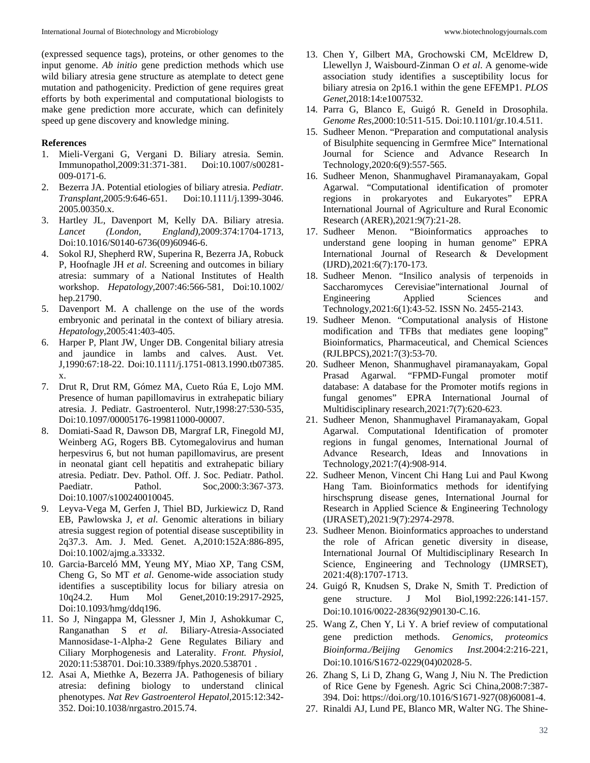(expressed sequence tags), proteins, or other genomes to the input genome. *Ab initio* gene prediction methods which use wild biliary atresia gene structure as atemplate to detect gene mutation and pathogenicity. Prediction of gene requires great efforts by both experimental and computational biologists to make gene prediction more accurate, which can definitely speed up gene discovery and knowledge mining.

# **References**

- 1. Mieli-Vergani G, Vergani D. Biliary atresia. Semin. Immunopathol*,*2009:31:371-381. Doi:10.1007/s00281- 009-0171-6.
- 2. Bezerra JA. Potential etiologies of biliary atresia. *Pediatr. Transplant,*2005:9:646-651. Doi:10.1111/j.1399-3046. 2005.00350.x.
- 3. Hartley JL, Davenport M, Kelly DA. Biliary atresia. *Lancet (London, England),*2009:374:1704-1713, Doi:10.1016/S0140-6736(09)60946-6.
- 4. Sokol RJ, Shepherd RW, Superina R, Bezerra JA, Robuck P, Hoofnagle JH *et al*. Screening and outcomes in biliary atresia: summary of a National Institutes of Health workshop. *Hepatology,*2007:46:566-581, Doi:10.1002/ hep.21790.
- 5. Davenport M. A challenge on the use of the words embryonic and perinatal in the context of biliary atresia. *Hepatology*,2005:41:403-405.
- 6. Harper P, Plant JW, Unger DB. Congenital biliary atresia and jaundice in lambs and calves. Aust. Vet. J*,*1990:67:18-22. Doi:10.1111/j.1751-0813.1990.tb07385. x.
- 7. Drut R, Drut RM, Gómez MA, Cueto Rúa E, Lojo MM. Presence of human papillomavirus in extrahepatic biliary atresia. J. Pediatr. Gastroenterol. Nutr*,*1998:27:530-535, Doi:10.1097/00005176-199811000-00007.
- 8. Domiati-Saad R, Dawson DB, Margraf LR, Finegold MJ, Weinberg AG, Rogers BB. Cytomegalovirus and human herpesvirus 6, but not human papillomavirus, are present in neonatal giant cell hepatitis and extrahepatic biliary atresia. Pediatr. Dev. Pathol. Off. J. Soc. Pediatr. Pathol. Paediatr. Pathol. Soc*,*2000:3:367-373. Doi:10.1007/s100240010045.
- 9. Leyva-Vega M, Gerfen J, Thiel BD, Jurkiewicz D, Rand EB, Pawlowska J, *et al*. Genomic alterations in biliary atresia suggest region of potential disease susceptibility in 2q37.3. Am. J. Med. Genet. A,2010:152A:886-895, Doi:10.1002/ajmg.a.33332.
- 10. Garcia-Barceló MM, Yeung MY, Miao XP, Tang CSM, Cheng G, So MT *et al*. Genome-wide association study identifies a susceptibility locus for biliary atresia on 10q24.2. Hum Mol Genet,2010:19:2917-2925, Doi:10.1093/hmg/ddq196.
- 11. So J, Ningappa M, Glessner J, Min J, Ashokkumar C, Ranganathan S *et al.* Biliary-Atresia-Associated Mannosidase-1-Alpha-2 Gene Regulates Biliary and Ciliary Morphogenesis and Laterality. *Front. Physiol,* 2020:11:538701. Doi:10.3389/fphys.2020.538701 .
- 12. Asai A, Miethke A, Bezerra JA. Pathogenesis of biliary atresia: defining biology to understand clinical phenotypes. *Nat Rev Gastroenterol Hepatol,*2015:12:342- 352. Doi:10.1038/nrgastro.2015.74.
- 13. Chen Y, Gilbert MA, Grochowski CM, McEldrew D, Llewellyn J, Waisbourd-Zinman O *et al*. A genome-wide association study identifies a susceptibility locus for biliary atresia on 2p16.1 within the gene EFEMP1. *PLOS Genet,*2018:14:e1007532.
- 14. Parra G, Blanco E, Guigó R. GeneId in Drosophila. *Genome Res,*2000:10:511-515. Doi:10.1101/gr.10.4.511.
- 15. Sudheer Menon. "Preparation and computational analysis of Bisulphite sequencing in Germfree Mice" International Journal for Science and Advance Research In Technology,2020:6(9):557-565.
- 16. Sudheer Menon, Shanmughavel Piramanayakam, Gopal Agarwal. "Computational identification of promoter regions in prokaryotes and Eukaryotes" EPRA International Journal of Agriculture and Rural Economic Research (ARER),2021:9(7):21-28.
- 17. Sudheer Menon. "Bioinformatics approaches to understand gene looping in human genome" EPRA International Journal of Research & Development (IJRD),2021:6(7):170-173.
- 18. Sudheer Menon. "Insilico analysis of terpenoids in Saccharomyces Cerevisiae"international Journal of Engineering Applied Sciences and Technology,2021:6(1):43-52. ISSN No. 2455-2143.
- 19. Sudheer Menon. "Computational analysis of Histone modification and TFBs that mediates gene looping" Bioinformatics, Pharmaceutical, and Chemical Sciences (RJLBPCS),2021:7(3):53-70.
- 20. Sudheer Menon, Shanmughavel piramanayakam, Gopal Prasad Agarwal. "FPMD-Fungal promoter motif database: A database for the Promoter motifs regions in fungal genomes" EPRA International Journal of Multidisciplinary research,2021:7(7):620-623.
- 21. Sudheer Menon, Shanmughavel Piramanayakam, Gopal Agarwal. Computational Identification of promoter regions in fungal genomes, International Journal of Advance Research, Ideas and Innovations in Technology,2021:7(4):908-914.
- 22. Sudheer Menon, Vincent Chi Hang Lui and Paul Kwong Hang Tam. Bioinformatics methods for identifying hirschsprung disease genes, International Journal for Research in Applied Science & Engineering Technology (IJRASET),2021:9(7):2974-2978.
- 23. Sudheer Menon. Bioinformatics approaches to understand the role of African genetic diversity in disease, International Journal Of Multidisciplinary Research In Science, Engineering and Technology (IJMRSET), 2021:4(8):1707-1713.
- 24. Guigó R, Knudsen S, Drake N, Smith T. Prediction of gene structure. J Mol Biol*,*1992:226:141-157. Doi:10.1016/0022-2836(92)90130-C.16.
- 25. Wang Z, Chen Y, Li Y. A brief review of computational gene prediction methods. *Genomics, proteomics Bioinforma./Beijing Genomics Inst.*2004:2:216-221, Doi:10.1016/S1672-0229(04)02028-5.
- 26. Zhang S, Li D, Zhang G, Wang J, Niu N. The Prediction of Rice Gene by Fgenesh. Agric Sci China*,*2008:7:387- 394. Doi: https://doi.org/10.1016/S1671-927(08)60081-4.
- 27. Rinaldi AJ, Lund PE, Blanco MR, Walter NG. The Shine-